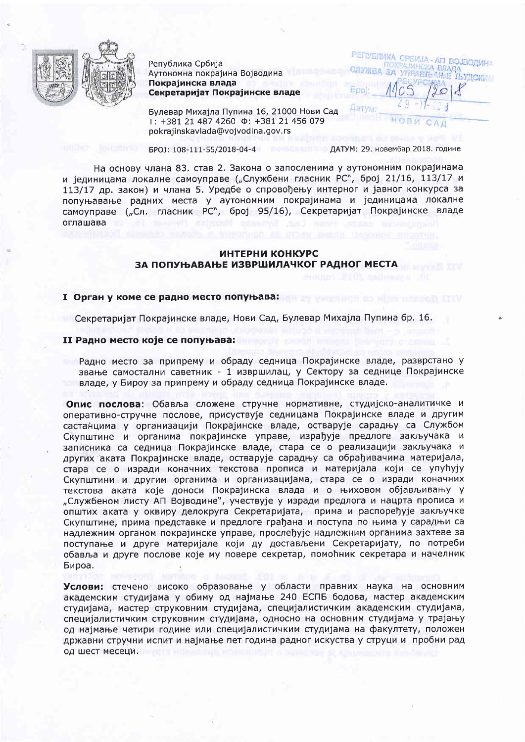

Република Србија Аутономна покрајина Војводина Покраіинска влада Секретаријат Покрајинске владе

Булевар Михајла Пупина 16, 21000 Нови Сад T: +381 21 487 4260  $\Phi$ : +381 21 456 079 pokrajinskavlada@vojvodina.gov.rs

EPOJ: 108-111-55/2018-04-4

ДАТУМ: 29. новембар 2018. године

**РЕГІУЕЛИКІ** 

На основу члана 83. став 2. Закона о запосленима у аутономним покрајинама и јединицама локалне самоуправе ("Службени гласник РС", број 21/16, 113/17 и 113/17 др. закон) и члана 5. Уредбе о спровођењу интерног и јавног конкурса за попуњавање радних места у аутономним покрајинама и јединицама локалне самоуправе ("Сл. гласник РС", број 95/16), Секретаријат Покрајинске владе оглашава

## ИНТЕРНИ КОНКУРС ЗА ПОПУЊАВАЊЕ ИЗВРШИЛАЧКОГ РАДНОГ МЕСТА

#### I Орган у коме се радно место попуњава:

Секретаријат Покрајинске владе, Нови Сад, Булевар Михајла Пупина бр. 16.

#### II Радно место које се попуњава:

Радно место за припрему и обраду седница Покрајинске владе, разврстано у звање самостални саветник - 1 извршилац, у Сектору за седнице Покрајинске владе, у Бироу за припрему и обраду седница Покрајинске владе.

Опис послова: Обавља сложене стручне нормативне, студијско-аналитичке и оперативно-стручне послове, присуствује седницама Покрајинске владе и другим састанцима у организацији Покрајинске владе, остварује сарадњу са Службом Скупштине и органима покрајинске управе, израђује предлоге закључака и записника са седница Покрајинске владе, стара се о реализацији закључака и других аката Покрајинске владе, остварује сарадњу са обрађивачима материјала, стара се о изради коначних текстова прописа и материјала који се упућују Скупштини и другим органима и организацијама, стара се о изради коначних текстова аката које доноси Покрајинска влада и о њиховом објављивању у "Службеном листу АП Војводине", учествује у изради предлога и нацрта прописа и општих аката у оквиру делокруга Секретаријата, прима и распоређује закључке Скупштине, прима представке и предлоге грађана и поступа по њима у сарадњи са надлежним органом покрајинске управе, прослеђује надлежним органима захтеве за поступање и друге материјале који ду достављени Секретаријату, по потреби обавља и друге послове које му повере секретар, помоћник секретара и начелник Бироа.

Услови: стечено високо образовање у области правних наука на основним академским студијама у обиму од најмање 240 ЕСПБ бодова, мастер академским студијама, мастер струковним студијама, специјалистичким академским студијама, специјалистичким струковним студијама, односно на основним студијама у трајању од најмање четири године или специјалистичким студијама на факултету, положен државни стручни испит и најмање пет година радног искуства у струци и пробни рад од шест месеци.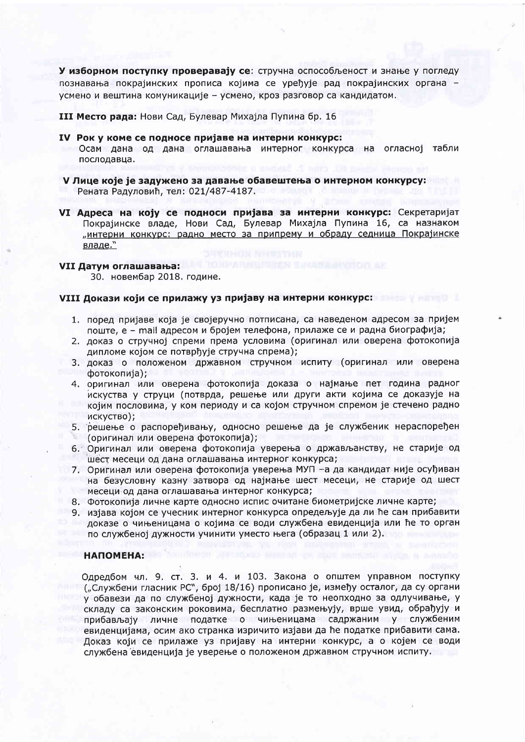У изборном поступку проверавају се: стручна оспособљеност и знање у погледу познавања покрајинских прописа којима се уређује рад покрајинских органа усмено и вештина комуникације - усмено, кроз разговор са кандидатом.

III Место рада: Нови Сад, Булевар Михајла Пупина бр. 16

- IV Рок у коме се подносе пријаве на интерни конкурс: Осам дана од дана оглашавања интерног конкурса на огласној табли послодавца.
- V Лице које је задужено за давање обавештења о интерном конкурсу: Рената Радуловић, тел: 021/487-4187.
- VI Адреса на коју се подноси пријава за интерни конкурс: Секретаријат Покрајинске владе, Нови Сад, Булевар Михајла Пупина 16, са назнаком "интерни конкурс: радно место за припрему и обраду седница Покрајинске владе."

### VII Датум оглашавања:

30. новембар 2018. године.

#### VIII Докази који се прилажу уз пријаву на интерни конкурс: **1999 и 1999 година и контрално**

- 1. поред пријаве која је својеручно потписана, са наведеном адресом за пријем поште, е - mail адресом и бројем телефона, прилаже се и радна биографија;
- 2. доказ о стручној спреми према условима (оригинал или оверена фотокопија дипломе којом се потврђује стручна спрема);
- 3. доказ о положеном државном стручном испиту (оригинал или оверена фотокопија);
- 4. оригинал или оверена фотокопија доказа о најмање пет година радног искуства у струци (потврда, решење или други акти којима се доказује на којим пословима, у ком периоду и са којом стручном спремом је стечено радно ИСКУСТВО);
- 5. решење о распоређивању, односно решење да је службеник нераспоређен
- (оригинал или оверена фотокопија);
- 6. Оригинал или оверена фотокопија уверења о држављанству, не старије од шест месеци од дана оглашавања интерног конкурса;
- 7. Оригинал или оверена фотокопија уверења МУП -а да кандидат није осуђиван на безусловну казну затвора од најмање шест месеци, не старије од шест месеци од дана оглашавања интерног конкурса;
- 8. Фотокопија личне карте односно испис очитане биометријске личне карте;
- 9. изјава којом се учесник интерног конкурса опредељује да ли ће сам прибавити доказе о чињеницама о којима се води службена евиденција или ће то орган по службеној дужности учинити уместо њега (образац 1 или 2).

# **НАПОМЕНА:**

Одредбом чл. 9. ст. 3. и 4. и 103. Закона о општем управном поступку ("Службени гласник РС", број 18/16) прописано је, између осталог, да су органи у обавези да по службеној дужности, када је то неопходно за одлучивање, у складу са законским роковима, бесплатно размењују, врше увид, обрађују и прибављају личне податке о чињеницама садржаним у службеним евиденцијама, осим ако странка изричито изјави да ће податке прибавити сама. Доказ који се прилаже уз пријаву на интерни конкурс, а о којем се води службена евиденција је уверење о положеном државном стручном испиту.